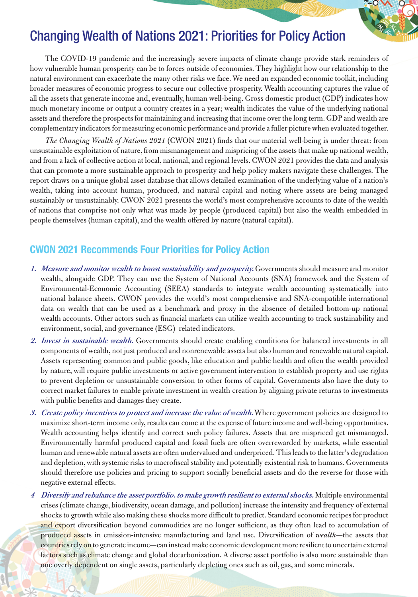

## Changing Wealth of Nations 2021: Priorities for Policy Action

The COVID-19 pandemic and the increasingly severe impacts of climate change provide stark reminders of how vulnerable human prosperity can be to forces outside of economies. They highlight how our relationship to the natural environment can exacerbate the many other risks we face. We need an expanded economic toolkit, including broader measures of economic progress to secure our collective prosperity. Wealth accounting captures the value of all the assets that generate income and, eventually, human well-being. Gross domestic product (GDP) indicates how much monetary income or output a country creates in a year; wealth indicates the value of the underlying national assets and therefore the prospects for maintaining and increasing that income over the long term. GDP and wealth are complementary indicators for measuring economic performance and provide a fuller picture when evaluated together.

*The Changing Wealth of Nations 2021* (CWON 2021) finds that our material well-being is under threat: from unsustainable exploitation of nature, from mismanagement and mispricing of the assets that make up national wealth, and from a lack of collective action at local, national, and regional levels. CWON 2021 provides the data and analysis that can promote a more sustainable approach to prosperity and help policy makers navigate these challenges. The report draws on a unique global asset database that allows detailed examination of the underlying value of a nation's wealth, taking into account human, produced, and natural capital and noting where assets are being managed sustainably or unsustainably. CWON 2021 presents the world's most comprehensive accounts to date of the wealth of nations that comprise not only what was made by people (produced capital) but also the wealth embedded in people themselves (human capital), and the wealth offered by nature (natural capital).

## **CWON 2021 Recommends Four Priorities for Policy Action**

- **1. Measure and monitor wealth to boost sustainability and prosperity.** Governments should measure and monitor wealth, alongside GDP. They can use the System of National Accounts (SNA) framework and the System of Environmental-Economic Accounting (SEEA) standards to integrate wealth accounting systematically into national balance sheets. CWON provides the world's most comprehensive and SNA-compatible international data on wealth that can be used as a benchmark and proxy in the absence of detailed bottom-up national wealth accounts. Other actors such as financial markets can utilize wealth accounting to track sustainability and environment, social, and governance (ESG)–related indicators.
- **2. Invest in sustainable wealth.** Governments should create enabling conditions for balanced investments in all components of wealth, not just produced and nonrenewable assets but also human and renewable natural capital. Assets representing common and public goods, like education and public health and often the wealth provided by nature, will require public investments or active government intervention to establish property and use rights to prevent depletion or unsustainable conversion to other forms of capital. Governments also have the duty to correct market failures to enable private investment in wealth creation by aligning private returns to investments with public benefits and damages they create.
- **3. Create policy incentives to protect and increase the value of wealth.** Where government policies are designed to maximize short-term income only, results can come at the expense of future income and well-being opportunities. Wealth accounting helps identify and correct such policy failures. Assets that are mispriced get mismanaged. Environmentally harmful produced capital and fossil fuels are often overrewarded by markets, while essential human and renewable natural assets are often undervalued and underpriced. This leads to the latter's degradation and depletion, with systemic risks to macrofiscal stability and potentially existential risk to humans. Governments should therefore use policies and pricing to support socially beneficial assets and do the reverse for those with negative external effects.
- **<sup>4</sup> Diversify and rebalance the asset portfolio. to make growth resilient to external shocks.** Multiple environmental crises (climate change, biodiversity, ocean damage, and pollution) increase the intensity and frequency of external shocks to growth while also making these shocks more difficult to predict. Standard economic recipes for product and export diversification beyond commodities are no longer sufficient, as they often lead to accumulation of produced assets in emission-intensive manufacturing and land use. Diversification of *wealth*—the assets that countries rely on to generate income—can instead make economic development more resilient to uncertain external factors such as climate change and global decarbonization. A diverse asset portfolio is also more sustainable than one overly dependent on single assets, particularly depleting ones such as oil, gas, and some minerals.